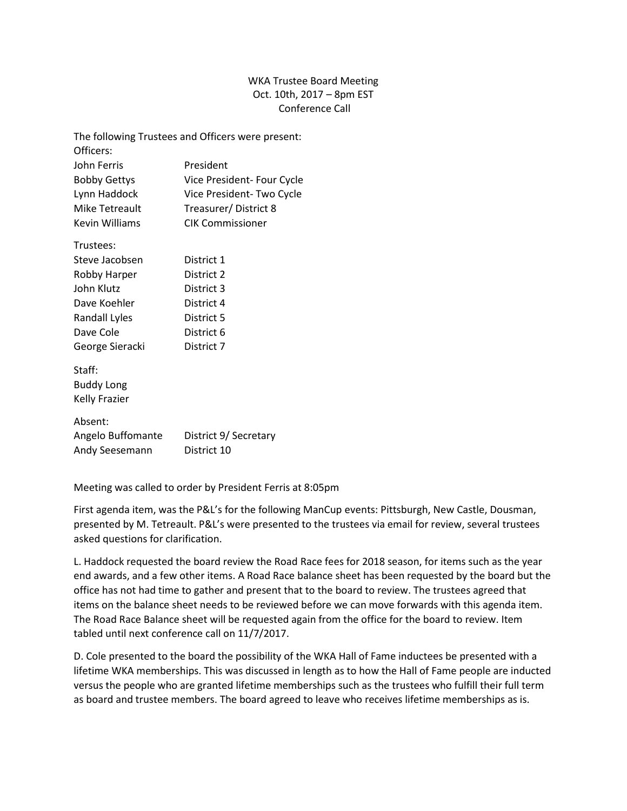## WKA Trustee Board Meeting Oct. 10th, 2017 – 8pm EST Conference Call

|                       | The following Trustees and Officers were present: |
|-----------------------|---------------------------------------------------|
| Officers:             |                                                   |
| John Ferris           | President                                         |
| <b>Bobby Gettys</b>   | Vice President- Four Cycle                        |
| Lynn Haddock          | Vice President-Two Cycle                          |
| Mike Tetreault        | Treasurer/District 8                              |
| <b>Kevin Williams</b> | <b>CIK Commissioner</b>                           |
| Trustees:             |                                                   |
| Steve Jacobsen        | District 1                                        |
| Robby Harper          | District 2                                        |
| John Klutz            | District 3                                        |
| Dave Koehler          | District 4                                        |
| <b>Randall Lyles</b>  | District 5                                        |
| Dave Cole             | District 6                                        |
| George Sieracki       | District 7                                        |
| Staff:                |                                                   |
| <b>Buddy Long</b>     |                                                   |
| <b>Kelly Frazier</b>  |                                                   |
| Absent:               |                                                   |
| Angelo Buffomante     | District 9/ Secretary                             |
| Andy Seesemann        | District 10                                       |
|                       |                                                   |

Meeting was called to order by President Ferris at 8:05pm

First agenda item, was the P&L's for the following ManCup events: Pittsburgh, New Castle, Dousman, presented by M. Tetreault. P&L's were presented to the trustees via email for review, several trustees asked questions for clarification.

L. Haddock requested the board review the Road Race fees for 2018 season, for items such as the year end awards, and a few other items. A Road Race balance sheet has been requested by the board but the office has not had time to gather and present that to the board to review. The trustees agreed that items on the balance sheet needs to be reviewed before we can move forwards with this agenda item. The Road Race Balance sheet will be requested again from the office for the board to review. Item tabled until next conference call on 11/7/2017.

D. Cole presented to the board the possibility of the WKA Hall of Fame inductees be presented with a lifetime WKA memberships. This was discussed in length as to how the Hall of Fame people are inducted versus the people who are granted lifetime memberships such as the trustees who fulfill their full term as board and trustee members. The board agreed to leave who receives lifetime memberships as is.